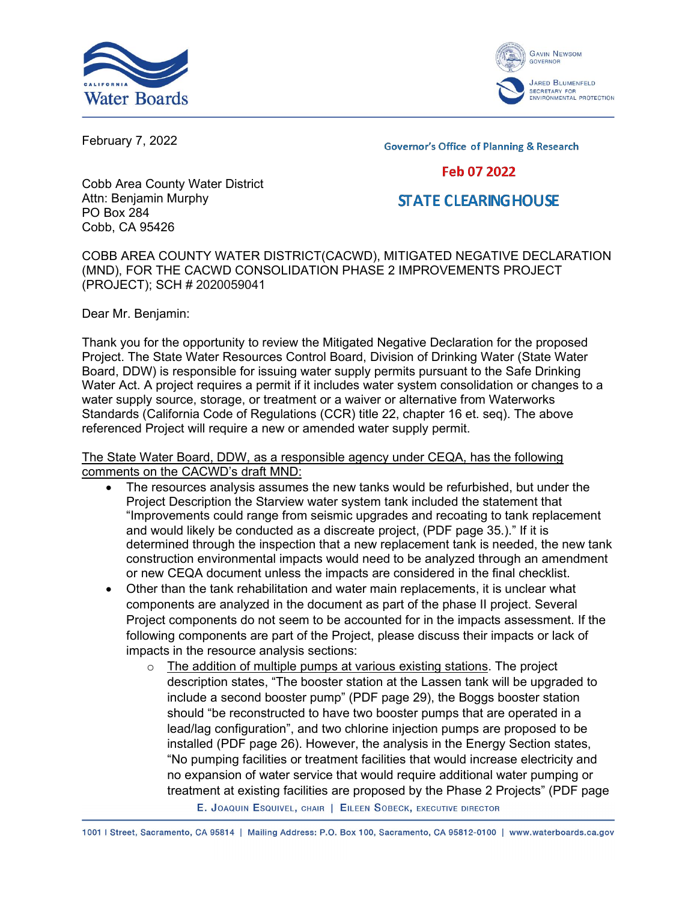



February 7, 2022

**Governor's Office of Planning & Research** 

## Feb 07 2022

## **STATE CLEARING HOUSE**

Cobb Area County Water District Attn: Benjamin Murphy PO Box 284 Cobb, CA 95426

COBB AREA COUNTY WATER DISTRICT(CACWD), MITIGATED NEGATIVE DECLARATION (MND), FOR THE CACWD CONSOLIDATION PHASE 2 IMPROVEMENTS PROJECT (PROJECT); SCH # 2020059041

Dear Mr. Benjamin:

Thank you for the opportunity to review the Mitigated Negative Declaration for the proposed Project. The State Water Resources Control Board, Division of Drinking Water (State Water Board, DDW) is responsible for issuing water supply permits pursuant to the Safe Drinking Water Act. A project requires a permit if it includes water system consolidation or changes to a water supply source, storage, or treatment or a waiver or alternative from Waterworks Standards (California Code of Regulations (CCR) title 22, chapter 16 et. seq). The above referenced Project will require a new or amended water supply permit.

The State Water Board, DDW, as a responsible agency under CEQA, has the following comments on the CACWD's draft MND:

- · The resources analysis assumes the new tanks would be refurbished, but under the Project Description the Starview water system tank included the statement that "Improvements could range from seismic upgrades and recoating to tank replacement and would likely be conducted as a discreate project, (PDF page 35.)." If it is determined through the inspection that a new replacement tank is needed, the new tank construction environmental impacts would need to be analyzed through an amendment or new CEQA document unless the impacts are considered in the final checklist.
- · Other than the tank rehabilitation and water main replacements, it is unclear what components are analyzed in the document as part of the phase II project. Several Project components do not seem to be accounted for in the impacts assessment. If the following components are part of the Project, please discuss their impacts or lack of impacts in the resource analysis sections:
	- $\circ$  The addition of multiple pumps at various existing stations. The project description states, "The booster station at the Lassen tank will be upgraded to include a second booster pump" (PDF page 29), the Boggs booster station should "be reconstructed to have two booster pumps that are operated in a lead/lag configuration", and two chlorine injection pumps are proposed to be installed (PDF page 26). However, the analysis in the Energy Section states, "No pumping facilities or treatment facilities that would increase electricity and no expansion of water service that would require additional water pumping or treatment at existing facilities are proposed by the Phase 2 Projects" (PDF page

E. JOAQUIN ESQUIVEL, CHAIR | EILEEN SOBECK, EXECUTIVE DIRECTOR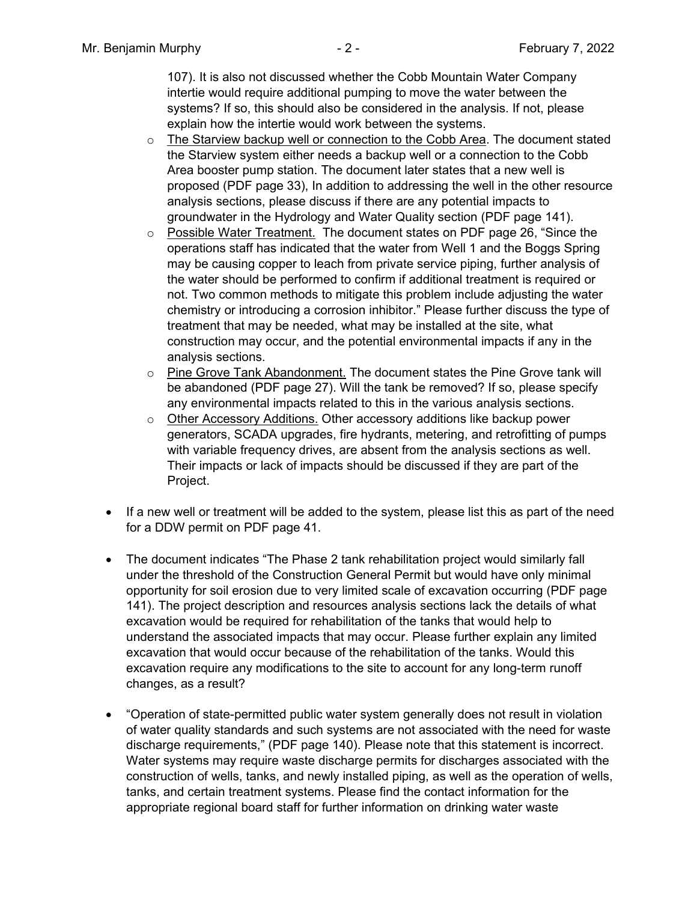107). It is also not discussed whether the Cobb Mountain Water Company intertie would require additional pumping to move the water between the systems? If so, this should also be considered in the analysis. If not, please explain how the intertie would work between the systems.

- $\circ$  The Starview backup well or connection to the Cobb Area. The document stated the Starview system either needs a backup well or a connection to the Cobb Area booster pump station. The document later states that a new well is proposed (PDF page 33), In addition to addressing the well in the other resource analysis sections, please discuss if there are any potential impacts to groundwater in the Hydrology and Water Quality section (PDF page 141).
- o Possible Water Treatment. The document states on PDF page 26, "Since the operations staff has indicated that the water from Well 1 and the Boggs Spring may be causing copper to leach from private service piping, further analysis of the water should be performed to confirm if additional treatment is required or not. Two common methods to mitigate this problem include adjusting the water chemistry or introducing a corrosion inhibitor." Please further discuss the type of treatment that may be needed, what may be installed at the site, what construction may occur, and the potential environmental impacts if any in the analysis sections.
- $\circ$  Pine Grove Tank Abandonment. The document states the Pine Grove tank will be abandoned (PDF page 27). Will the tank be removed? If so, please specify any environmental impacts related to this in the various analysis sections.
- o Other Accessory Additions. Other accessory additions like backup power generators, SCADA upgrades, fire hydrants, metering, and retrofitting of pumps with variable frequency drives, are absent from the analysis sections as well. Their impacts or lack of impacts should be discussed if they are part of the Project.
- · If a new well or treatment will be added to the system, please list this as part of the need for a DDW permit on PDF page 41.
- · The document indicates "The Phase 2 tank rehabilitation project would similarly fall under the threshold of the Construction General Permit but would have only minimal opportunity for soil erosion due to very limited scale of excavation occurring (PDF page 141). The project description and resources analysis sections lack the details of what excavation would be required for rehabilitation of the tanks that would help to understand the associated impacts that may occur. Please further explain any limited excavation that would occur because of the rehabilitation of the tanks. Would this excavation require any modifications to the site to account for any long-term runoff changes, as a result?
- · "Operation of state-permitted public water system generally does not result in violation of water quality standards and such systems are not associated with the need for waste discharge requirements," (PDF page 140). Please note that this statement is incorrect. Water systems may require waste discharge permits for discharges associated with the construction of wells, tanks, and newly installed piping, as well as the operation of wells, tanks, and certain treatment systems. Please find the contact information for the appropriate regional board staff for further information on drinking water waste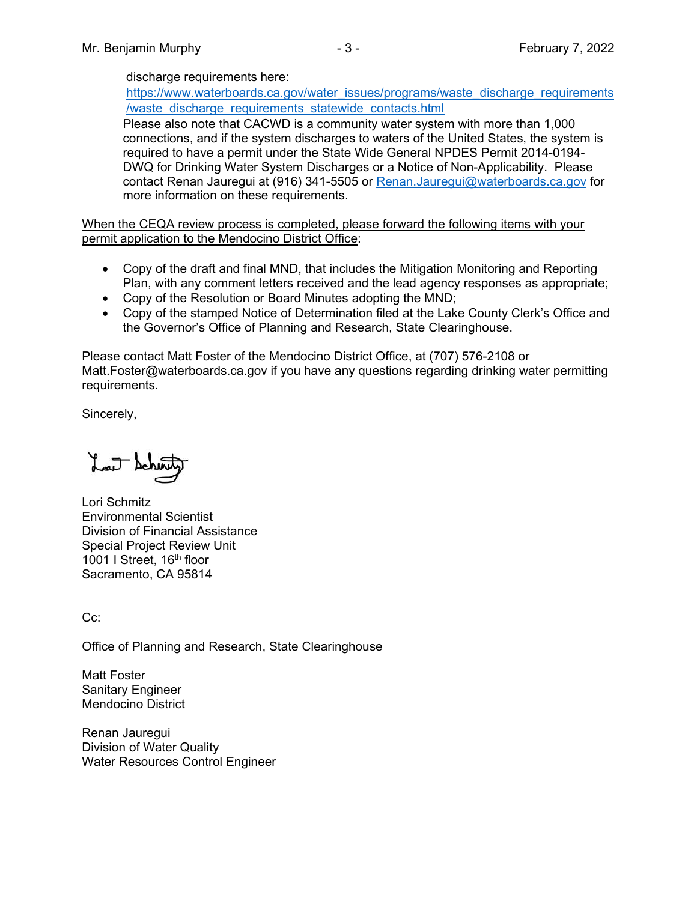## discharge requirements here:

[https://www.waterboards.ca.gov/water\\_issues/programs/waste\\_discharge\\_requirements](https://www.waterboards.ca.gov/water_issues/programs/waste_discharge_requirements/waste_discharge_requirements_statewide_contacts.html) [/waste\\_discharge\\_requirements\\_statewide\\_contacts.html](https://www.waterboards.ca.gov/water_issues/programs/waste_discharge_requirements/waste_discharge_requirements_statewide_contacts.html) 

Please also note that CACWD is a community water system with more than 1,000 connections, and if the system discharges to waters of the United States, the system is required to have a permit under the State Wide General NPDES Permit 2014-0194- DWQ for Drinking Water System Discharges or a Notice of Non-Applicability. Please contact Renan Jauregui at (916) 341-5505 or [Renan.Jauregui@waterboards.ca.gov](\\ca.epa.local\SB\DDW\DDW-Public\DDW CEQA\CEQANET_Weekly_Query_List\Draft_Comment_Letters\CACWD\Consolidiation_Phase_II_Improvements\Renan.Jauregui@waterboards.ca.gov ) for more information on these requirements.

When the CEQA review process is completed, please forward the following items with your permit application to the Mendocino District Office:

- · Copy of the draft and final MND, that includes the Mitigation Monitoring and Reporting Plan, with any comment letters received and the lead agency responses as appropriate;
- · Copy of the Resolution or Board Minutes adopting the MND;
- · Copy of the stamped Notice of Determination filed at the Lake County Clerk's Office and the Governor's Office of Planning and Research, State Clearinghouse.

Please contact Matt Foster of the Mendocino District Office, at (707) 576-2108 or Matt.Foster@waterboards.ca.gov if you have any questions regarding drinking water permitting requirements.

Sincerely,

Lat Schon

Lori Schmitz Environmental Scientist Division of Financial Assistance Special Project Review Unit 1001 I Street, 16<sup>th</sup> floor Sacramento, CA 95814

Cc:

Office of Planning and Research, State Clearinghouse

Matt Foster Sanitary Engineer Mendocino District

Renan Jauregui Division of Water Quality Water Resources Control Engineer